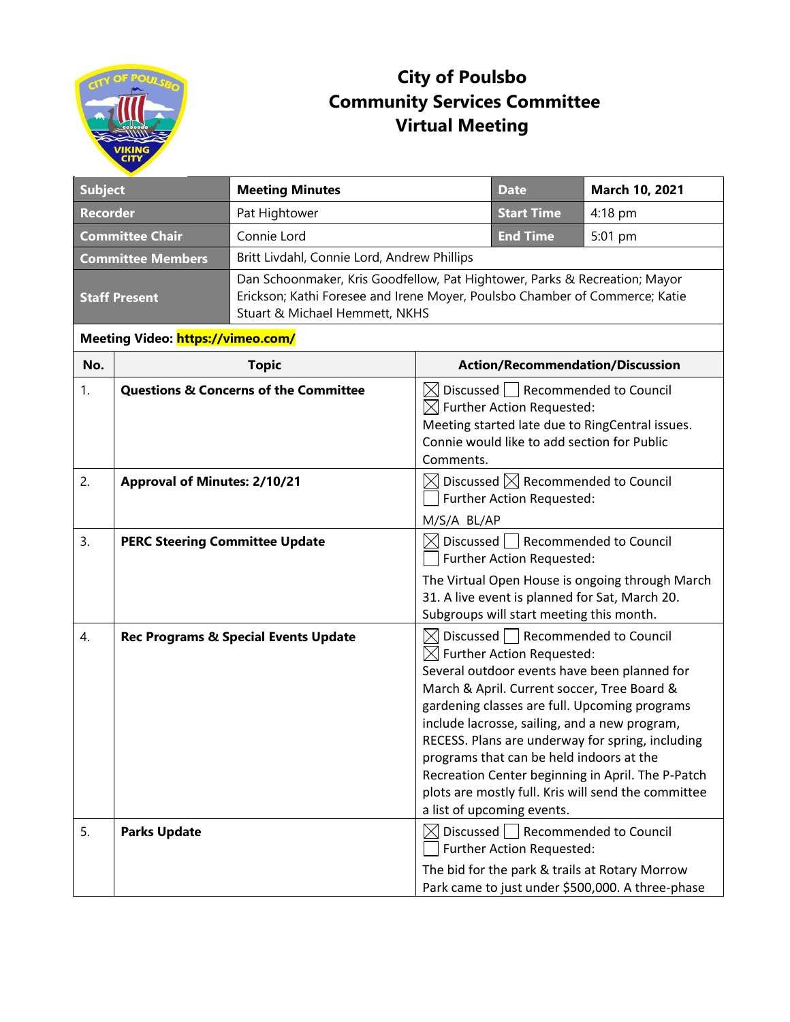

## **City of Poulsbo Community Services Committee Virtual Meeting**

| <b>Subject</b>                    |                                                  | <b>Meeting Minutes</b>                                                                                                                                                                      |                                                                                                                                                                                                           | <b>Date</b>                                                                                                                                                       | March 10, 2021                                                                                                                                                                                                                                                                                                                                                |  |
|-----------------------------------|--------------------------------------------------|---------------------------------------------------------------------------------------------------------------------------------------------------------------------------------------------|-----------------------------------------------------------------------------------------------------------------------------------------------------------------------------------------------------------|-------------------------------------------------------------------------------------------------------------------------------------------------------------------|---------------------------------------------------------------------------------------------------------------------------------------------------------------------------------------------------------------------------------------------------------------------------------------------------------------------------------------------------------------|--|
| <b>Recorder</b>                   |                                                  | Pat Hightower                                                                                                                                                                               |                                                                                                                                                                                                           | <b>Start Time</b>                                                                                                                                                 | $4:18$ pm                                                                                                                                                                                                                                                                                                                                                     |  |
| <b>Committee Chair</b>            |                                                  | Connie Lord                                                                                                                                                                                 |                                                                                                                                                                                                           | <b>End Time</b>                                                                                                                                                   | 5:01 pm                                                                                                                                                                                                                                                                                                                                                       |  |
| <b>Committee Members</b>          |                                                  | Britt Livdahl, Connie Lord, Andrew Phillips                                                                                                                                                 |                                                                                                                                                                                                           |                                                                                                                                                                   |                                                                                                                                                                                                                                                                                                                                                               |  |
| <b>Staff Present</b>              |                                                  | Dan Schoonmaker, Kris Goodfellow, Pat Hightower, Parks & Recreation; Mayor<br>Erickson; Kathi Foresee and Irene Moyer, Poulsbo Chamber of Commerce; Katie<br>Stuart & Michael Hemmett, NKHS |                                                                                                                                                                                                           |                                                                                                                                                                   |                                                                                                                                                                                                                                                                                                                                                               |  |
| Meeting Video: https://vimeo.com/ |                                                  |                                                                                                                                                                                             |                                                                                                                                                                                                           |                                                                                                                                                                   |                                                                                                                                                                                                                                                                                                                                                               |  |
| No.                               |                                                  | <b>Topic</b>                                                                                                                                                                                | <b>Action/Recommendation/Discussion</b>                                                                                                                                                                   |                                                                                                                                                                   |                                                                                                                                                                                                                                                                                                                                                               |  |
| 1.                                | <b>Questions &amp; Concerns of the Committee</b> |                                                                                                                                                                                             | Discussed   Recommended to Council<br>$\boxtimes$<br>$\boxtimes$ Further Action Requested:<br>Meeting started late due to RingCentral issues.<br>Connie would like to add section for Public<br>Comments. |                                                                                                                                                                   |                                                                                                                                                                                                                                                                                                                                                               |  |
| 2.                                | <b>Approval of Minutes: 2/10/21</b>              |                                                                                                                                                                                             | $\boxtimes$ Discussed $\boxtimes$ Recommended to Council<br>Further Action Requested:<br>M/S/A BL/AP                                                                                                      |                                                                                                                                                                   |                                                                                                                                                                                                                                                                                                                                                               |  |
| 3.                                | <b>PERC Steering Committee Update</b>            |                                                                                                                                                                                             |                                                                                                                                                                                                           | $\boxtimes$ Discussed $\Box$ Recommended to Council<br>Further Action Requested:<br>Subgroups will start meeting this month.                                      | The Virtual Open House is ongoing through March<br>31. A live event is planned for Sat, March 20.                                                                                                                                                                                                                                                             |  |
| 4.                                |                                                  | <b>Rec Programs &amp; Special Events Update</b>                                                                                                                                             |                                                                                                                                                                                                           | $\boxtimes$ Discussed   Recommended to Council<br>$\boxtimes$ Further Action Requested:<br>programs that can be held indoors at the<br>a list of upcoming events. | Several outdoor events have been planned for<br>March & April. Current soccer, Tree Board &<br>gardening classes are full. Upcoming programs<br>include lacrosse, sailing, and a new program,<br>RECESS. Plans are underway for spring, including<br>Recreation Center beginning in April. The P-Patch<br>plots are mostly full. Kris will send the committee |  |
| 5.                                | <b>Parks Update</b>                              |                                                                                                                                                                                             |                                                                                                                                                                                                           | $\boxtimes$ Discussed   Recommended to Council<br>Further Action Requested:                                                                                       | The bid for the park & trails at Rotary Morrow<br>Park came to just under \$500,000. A three-phase                                                                                                                                                                                                                                                            |  |